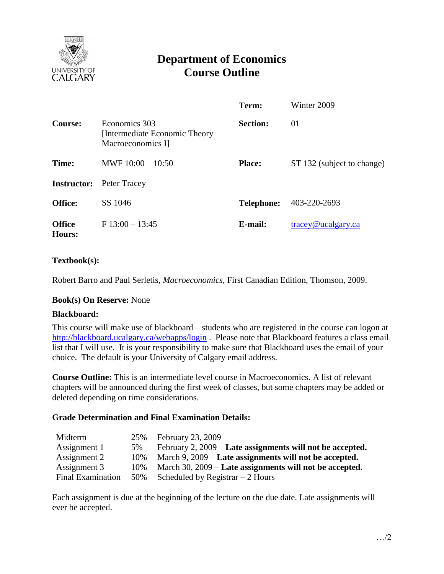

# **Department of Economics Course Outline**

|                         |                                                                       | Term:             | Winter 2009                              |
|-------------------------|-----------------------------------------------------------------------|-------------------|------------------------------------------|
| Course:                 | Economics 303<br>[Intermediate Economic Theory –<br>Macroeconomics I] | <b>Section:</b>   | 01                                       |
| Time:                   | MWF $10:00 - 10:50$                                                   | <b>Place:</b>     | ST 132 (subject to change)               |
| <b>Instructor:</b>      | Peter Tracey                                                          |                   |                                          |
| <b>Office:</b>          | SS 1046                                                               | <b>Telephone:</b> | 403-220-2693                             |
| <b>Office</b><br>Hours: | $F13:00 - 13:45$                                                      | E-mail:           | $trace\$ <sub><i>Q</i></sub> ucalgary.ca |

### **Textbook(s):**

Robert Barro and Paul Serletis, *Macroeconomics,* First Canadian Edition, Thomson, 2009.

#### **Book(s) On Reserve:** None

#### **Blackboard:**

This course will make use of blackboard – students who are registered in the course can logon at <http://blackboard.ucalgary.ca/webapps/login>. Please note that Blackboard features a class email list that I will use. It is your responsibility to make sure that Blackboard uses the email of your choice. The default is your University of Calgary email address.

**Course Outline:** This is an intermediate level course in Macroeconomics. A list of relevant chapters will be announced during the first week of classes, but some chapters may be added or deleted depending on time considerations.

#### **Grade Determination and Final Examination Details:**

| Midterm                  | 25%  | February 23, 2009                                           |
|--------------------------|------|-------------------------------------------------------------|
| Assignment 1             | 5%   | February 2, $2009$ – Late assignments will not be accepted. |
| Assignment 2             | 10\% | March 9, 2009 – Late assignments will not be accepted.      |
| Assignment 3             | 10%  | March 30, 2009 – Late assignments will not be accepted.     |
| <b>Final Examination</b> | 50%  | Scheduled by Registrar $-2$ Hours                           |

Each assignment is due at the beginning of the lecture on the due date. Late assignments will ever be accepted.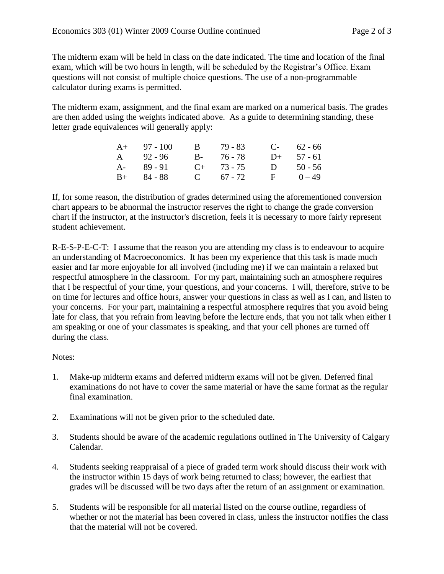The midterm exam will be held in class on the date indicated. The time and location of the final exam, which will be two hours in length, will be scheduled by the Registrar's Office. Exam questions will not consist of multiple choice questions. The use of a non-programmable calculator during exams is permitted.

The midterm exam, assignment, and the final exam are marked on a numerical basis. The grades are then added using the weights indicated above. As a guide to determining standing, these letter grade equivalences will generally apply:

| $A+ 97 - 100$ | B 79 - 83    | $C-62-66$    |
|---------------|--------------|--------------|
| A 92-96       | B- 76-78     | $D+$ 57 - 61 |
| A- 89-91      | $C+$ 73 - 75 | D $50 - 56$  |
| $B+ 84 - 88$  | C $67 - 72$  | $F = 0-49$   |

If, for some reason, the distribution of grades determined using the aforementioned conversion chart appears to be abnormal the instructor reserves the right to change the grade conversion chart if the instructor, at the instructor's discretion, feels it is necessary to more fairly represent student achievement.

R-E-S-P-E-C-T: I assume that the reason you are attending my class is to endeavour to acquire an understanding of Macroeconomics. It has been my experience that this task is made much easier and far more enjoyable for all involved (including me) if we can maintain a relaxed but respectful atmosphere in the classroom. For my part, maintaining such an atmosphere requires that I be respectful of your time, your questions, and your concerns. I will, therefore, strive to be on time for lectures and office hours, answer your questions in class as well as I can, and listen to your concerns. For your part, maintaining a respectful atmosphere requires that you avoid being late for class, that you refrain from leaving before the lecture ends, that you not talk when either I am speaking or one of your classmates is speaking, and that your cell phones are turned off during the class.

## Notes:

- 1. Make-up midterm exams and deferred midterm exams will not be given. Deferred final examinations do not have to cover the same material or have the same format as the regular final examination.
- 2. Examinations will not be given prior to the scheduled date.
- 3. Students should be aware of the academic regulations outlined in The University of Calgary Calendar.
- 4. Students seeking reappraisal of a piece of graded term work should discuss their work with the instructor within 15 days of work being returned to class; however, the earliest that grades will be discussed will be two days after the return of an assignment or examination.
- 5. Students will be responsible for all material listed on the course outline, regardless of whether or not the material has been covered in class, unless the instructor notifies the class that the material will not be covered.